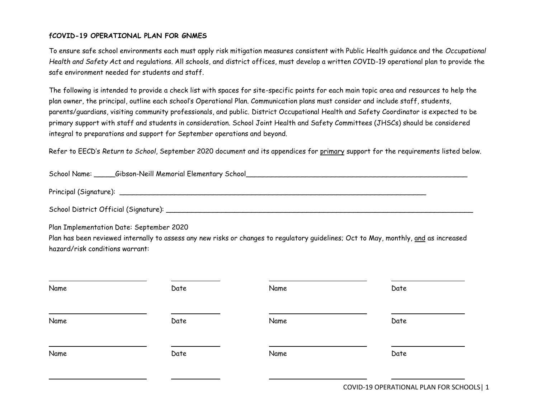### **fCOVID-19 OPERATIONAL PLAN FOR GNMES**

To ensure safe school environments each must apply risk mitigation measures consistent with Public Health guidance and the *Occupational Health and Safety Act* and regulations. All schools, and district offices, must develop a written COVID-19 operational plan to provide the safe environment needed for students and staff.

The following is intended to provide a check list with spaces for site-specific points for each main topic area and resources to help the plan owner, the principal, outline each school's Operational Plan. Communication plans must consider and include staff, students, parents/guardians, visiting community professionals, and public. District Occupational Health and Safety Coordinator is expected to be primary support with staff and students in consideration. School Joint Health and Safety Committees (JHSCs) should be considered integral to preparations and support for September operations and beyond.

Refer to EECD's *Return to School*, September 2020 document and its appendices for primary support for the requirements listed below.

| School Name:           | _Gibson-Neill Memorial Elementary School_ |  |
|------------------------|-------------------------------------------|--|
|                        |                                           |  |
| Principal (Signature): |                                           |  |

| School District Official (Signature): |  |
|---------------------------------------|--|
|                                       |  |

Plan Implementation Date: September 2020

Plan has been reviewed internally to assess any new risks or changes to regulatory guidelines; Oct to May, monthly, and as increased hazard/risk conditions warrant:

| Name | Date | Name | Date |
|------|------|------|------|
| Name | Date | Name | Date |
| Name | Date | Name | Date |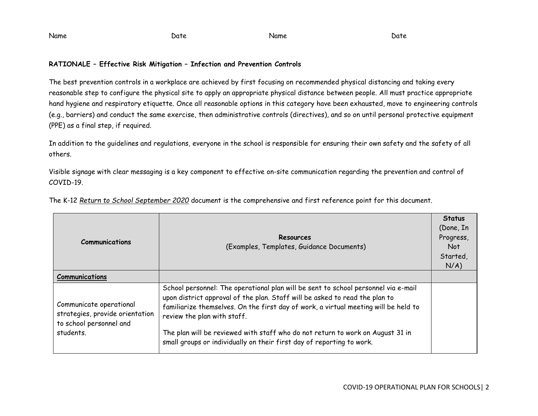Name Date Name Date

### **RATIONALE – Effective Risk Mitigation – Infection and Prevention Controls**

The best prevention controls in a workplace are achieved by first focusing on recommended physical distancing and taking every reasonable step to configure the physical site to apply an appropriate physical distance between people. All must practice appropriate hand hygiene and respiratory etiquette. Once all reasonable options in this category have been exhausted, move to engineering controls (e.g., barriers) and conduct the same exercise, then administrative controls (directives), and so on until personal protective equipment (PPE) as a final step, if required.

In addition to the guidelines and regulations, everyone in the school is responsible for ensuring their own safety and the safety of all others.

Visible signage with clear messaging is a key component to effective on-site communication regarding the prevention and control of COVID-19.

| <b>Communications</b>                                                                              | Resources<br>(Examples, Templates, Guidance Documents)                                                                                                                                                                                                                                                                                                                                                                                             | <b>Status</b><br>(Done, In<br>Progress,<br>Not<br>Started,<br>$N/A$ ) |
|----------------------------------------------------------------------------------------------------|----------------------------------------------------------------------------------------------------------------------------------------------------------------------------------------------------------------------------------------------------------------------------------------------------------------------------------------------------------------------------------------------------------------------------------------------------|-----------------------------------------------------------------------|
| <b>Communications</b>                                                                              |                                                                                                                                                                                                                                                                                                                                                                                                                                                    |                                                                       |
| Communicate operational<br>strategies, provide orientation<br>to school personnel and<br>students. | School personnel: The operational plan will be sent to school personnel via e-mail<br>upon district approval of the plan. Staff will be asked to read the plan to<br>familiarize themselves. On the first day of work, a virtual meeting will be held to<br>review the plan with staff.<br>The plan will be reviewed with staff who do not return to work on August 31 in<br>small groups or individually on their first day of reporting to work. |                                                                       |

The K-12 *Return to School September 2020* document is the comprehensive and first reference point for this document.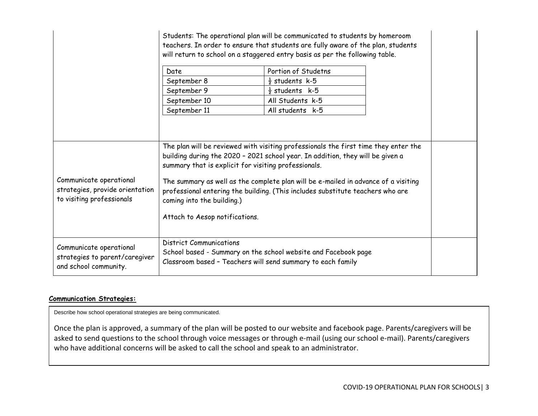|                                                                                         |                                                                                                                      | Students: The operational plan will be communicated to students by homeroom<br>teachers. In order to ensure that students are fully aware of the plan, students<br>will return to school on a staggered entry basis as per the following table.                                                                                               |  |
|-----------------------------------------------------------------------------------------|----------------------------------------------------------------------------------------------------------------------|-----------------------------------------------------------------------------------------------------------------------------------------------------------------------------------------------------------------------------------------------------------------------------------------------------------------------------------------------|--|
|                                                                                         | Date                                                                                                                 | Portion of Studetns                                                                                                                                                                                                                                                                                                                           |  |
|                                                                                         | September 8                                                                                                          | $\frac{1}{2}$ students k-5                                                                                                                                                                                                                                                                                                                    |  |
|                                                                                         | September 9                                                                                                          | $\frac{1}{2}$ students k-5                                                                                                                                                                                                                                                                                                                    |  |
|                                                                                         | September 10                                                                                                         | All Students k-5                                                                                                                                                                                                                                                                                                                              |  |
|                                                                                         | September 11                                                                                                         | All students k-5                                                                                                                                                                                                                                                                                                                              |  |
| Communicate operational<br>strategies, provide orientation<br>to visiting professionals | summary that is explicit for visiting professionals.<br>coming into the building.)<br>Attach to Aesop notifications. | The plan will be reviewed with visiting professionals the first time they enter the<br>building during the 2020 - 2021 school year. In addition, they will be given a<br>The summary as well as the complete plan will be e-mailed in advance of a visiting<br>professional entering the building. (This includes substitute teachers who are |  |
| Communicate operational<br>strategies to parent/caregiver<br>and school community.      | <b>District Communications</b>                                                                                       | School based - Summary on the school website and Facebook page<br>Classroom based - Teachers will send summary to each family                                                                                                                                                                                                                 |  |

#### **Communication Strategies:**

Describe how school operational strategies are being communicated.

Once the plan is approved, a summary of the plan will be posted to our website and facebook page. Parents/caregivers will be asked to send questions to the school through voice messages or through e-mail (using our school e-mail). Parents/caregivers who have additional concerns will be asked to call the school and speak to an administrator.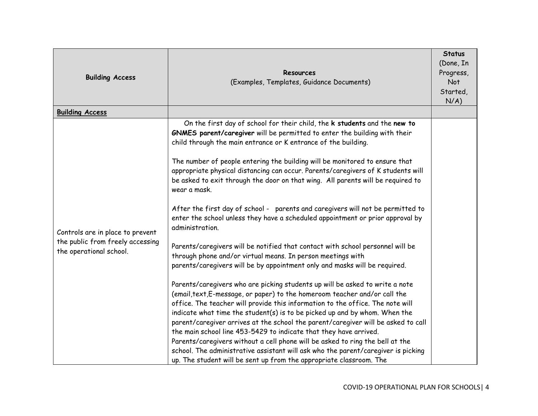| <b>Building Access</b>                                                                          | Resources<br>(Examples, Templates, Guidance Documents)                                                                                                                                                                                                                                                                                                                                                                                                                                                                                                                                                                                                                                                                                                                                                                                                                                                                                                                                                                                                                                                                                                                                                                                                                                                                                                                                                                                                                                                                                                                                                                                                     | <b>Status</b><br>(Done, In<br>Progress,<br>Not<br>Started,<br>N/A) |
|-------------------------------------------------------------------------------------------------|------------------------------------------------------------------------------------------------------------------------------------------------------------------------------------------------------------------------------------------------------------------------------------------------------------------------------------------------------------------------------------------------------------------------------------------------------------------------------------------------------------------------------------------------------------------------------------------------------------------------------------------------------------------------------------------------------------------------------------------------------------------------------------------------------------------------------------------------------------------------------------------------------------------------------------------------------------------------------------------------------------------------------------------------------------------------------------------------------------------------------------------------------------------------------------------------------------------------------------------------------------------------------------------------------------------------------------------------------------------------------------------------------------------------------------------------------------------------------------------------------------------------------------------------------------------------------------------------------------------------------------------------------------|--------------------------------------------------------------------|
| <b>Building Access</b>                                                                          |                                                                                                                                                                                                                                                                                                                                                                                                                                                                                                                                                                                                                                                                                                                                                                                                                                                                                                                                                                                                                                                                                                                                                                                                                                                                                                                                                                                                                                                                                                                                                                                                                                                            |                                                                    |
| Controls are in place to prevent<br>the public from freely accessing<br>the operational school. | On the first day of school for their child, the k students and the new to<br>GNMES parent/caregiver will be permitted to enter the building with their<br>child through the main entrance or K entrance of the building.<br>The number of people entering the building will be monitored to ensure that<br>appropriate physical distancing can occur. Parents/caregivers of K students will<br>be asked to exit through the door on that wing. All parents will be required to<br>wear a mask.<br>After the first day of school - parents and caregivers will not be permitted to<br>enter the school unless they have a scheduled appointment or prior approval by<br>administration.<br>Parents/caregivers will be notified that contact with school personnel will be<br>through phone and/or virtual means. In person meetings with<br>parents/caregivers will be by appointment only and masks will be required.<br>Parents/caregivers who are picking students up will be asked to write a note<br>(email, text, E-message, or paper) to the homeroom teacher and/or call the<br>office. The teacher will provide this information to the office. The note will<br>indicate what time the student(s) is to be picked up and by whom. When the<br>parent/caregiver arrives at the school the parent/caregiver will be asked to call<br>the main school line 453-5429 to indicate that they have arrived.<br>Parents/caregivers without a cell phone will be asked to ring the bell at the<br>school. The administrative assistant will ask who the parent/caregiver is picking<br>up. The student will be sent up from the appropriate classroom. The |                                                                    |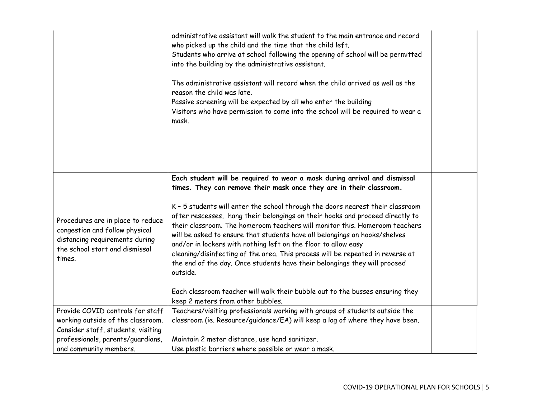|                                                                                                                                                   | administrative assistant will walk the student to the main entrance and record<br>who picked up the child and the time that the child left.<br>Students who arrive at school following the opening of school will be permitted<br>into the building by the administrative assistant.<br>The administrative assistant will record when the child arrived as well as the<br>reason the child was late.<br>Passive screening will be expected by all who enter the building<br>Visitors who have permission to come into the school will be required to wear a<br>mask.                                                                                                                                                                                                                                                                                |  |
|---------------------------------------------------------------------------------------------------------------------------------------------------|-----------------------------------------------------------------------------------------------------------------------------------------------------------------------------------------------------------------------------------------------------------------------------------------------------------------------------------------------------------------------------------------------------------------------------------------------------------------------------------------------------------------------------------------------------------------------------------------------------------------------------------------------------------------------------------------------------------------------------------------------------------------------------------------------------------------------------------------------------|--|
| Procedures are in place to reduce<br>congestion and follow physical<br>distancing requirements during<br>the school start and dismissal<br>times. | Each student will be required to wear a mask during arrival and dismissal<br>times. They can remove their mask once they are in their classroom.<br>K - 5 students will enter the school through the doors nearest their classroom<br>after rescesses, hang their belongings on their hooks and proceed directly to<br>their classroom. The homeroom teachers will monitor this. Homeroom teachers<br>will be asked to ensure that students have all belongings on hooks/shelves<br>and/or in lockers with nothing left on the floor to allow easy<br>cleaning/disinfecting of the area. This process will be repeated in reverse at<br>the end of the day. Once students have their belongings they will proceed<br>outside.<br>Each classroom teacher will walk their bubble out to the busses ensuring they<br>keep 2 meters from other bubbles. |  |
| Provide COVID controls for staff<br>working outside of the classroom.<br>Consider staff, students, visiting<br>professionals, parents/guardians,  | Teachers/visiting professionals working with groups of students outside the<br>classroom (ie. Resource/guidance/EA) will keep a log of where they have been.<br>Maintain 2 meter distance, use hand sanitizer.                                                                                                                                                                                                                                                                                                                                                                                                                                                                                                                                                                                                                                      |  |
| and community members.                                                                                                                            | Use plastic barriers where possible or wear a mask.                                                                                                                                                                                                                                                                                                                                                                                                                                                                                                                                                                                                                                                                                                                                                                                                 |  |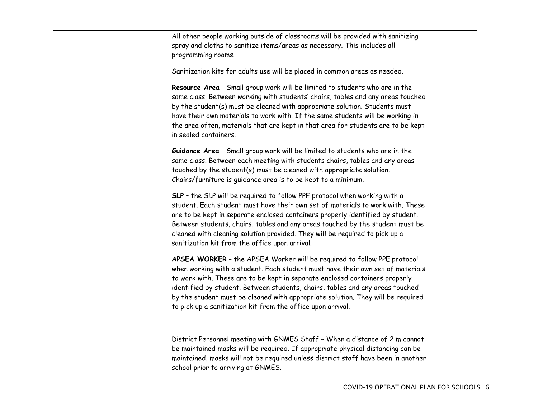| All other people working outside of classrooms will be provided with sanitizing<br>spray and cloths to sanitize items/areas as necessary. This includes all<br>programming rooms.                                                                                                                                                                                                                                                                                           |  |
|-----------------------------------------------------------------------------------------------------------------------------------------------------------------------------------------------------------------------------------------------------------------------------------------------------------------------------------------------------------------------------------------------------------------------------------------------------------------------------|--|
| Sanitization kits for adults use will be placed in common areas as needed.                                                                                                                                                                                                                                                                                                                                                                                                  |  |
| Resource Area - Small group work will be limited to students who are in the<br>same class. Between working with students' chairs, tables and any areas touched<br>by the student(s) must be cleaned with appropriate solution. Students must<br>have their own materials to work with. If the same students will be working in<br>the area often, materials that are kept in that area for students are to be kept<br>in sealed containers.                                 |  |
| Guidance Area - Small group work will be limited to students who are in the<br>same class. Between each meeting with students chairs, tables and any areas<br>touched by the student(s) must be cleaned with appropriate solution.<br>Chairs/furniture is guidance area is to be kept to a minimum.                                                                                                                                                                         |  |
| SLP - the SLP will be required to follow PPE protocol when working with a<br>student. Each student must have their own set of materials to work with. These<br>are to be kept in separate enclosed containers properly identified by student.<br>Between students, chairs, tables and any areas touched by the student must be<br>cleaned with cleaning solution provided. They will be required to pick up a<br>sanitization kit from the office upon arrival.             |  |
| APSEA WORKER - the APSEA Worker will be required to follow PPE protocol<br>when working with a student. Each student must have their own set of materials<br>to work with. These are to be kept in separate enclosed containers properly<br>identified by student. Between students, chairs, tables and any areas touched<br>by the student must be cleaned with appropriate solution. They will be required<br>to pick up a sanitization kit from the office upon arrival. |  |
| District Personnel meeting with GNMES Staff - When a distance of 2 m cannot<br>be maintained masks will be required. If appropriate physical distancing can be<br>maintained, masks will not be required unless district staff have been in another<br>school prior to arriving at GNMES.                                                                                                                                                                                   |  |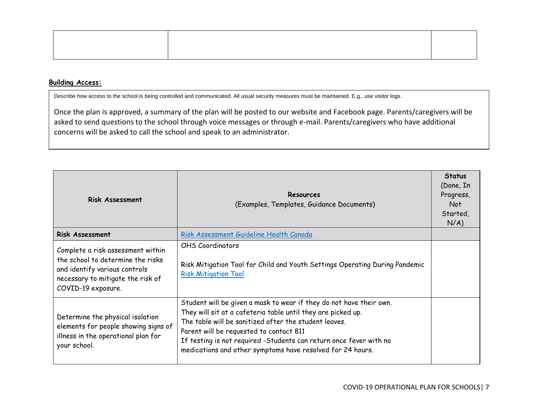#### **Building Access:**

Describe how access to the school is being controlled and communicated. All usual security measures must be maintained. E.g., use visitor logs.

Once the plan is approved, a summary of the plan will be posted to our website and Facebook page. Parents/caregivers will be asked to send questions to the school through voice messages or through e-mail. Parents/caregivers who have additional concerns will be asked to call the school and speak to an administrator.

| <b>Risk Assessment</b>                                                                                                                                             | Resources<br>(Examples, Templates, Guidance Documents)                                                                                                                                                                                                                                                                                                                      | <b>Status</b><br>(Done, In<br>Progress,<br>Not<br>Started,<br>$N/A$ ) |
|--------------------------------------------------------------------------------------------------------------------------------------------------------------------|-----------------------------------------------------------------------------------------------------------------------------------------------------------------------------------------------------------------------------------------------------------------------------------------------------------------------------------------------------------------------------|-----------------------------------------------------------------------|
| <b>Risk Assessment</b>                                                                                                                                             | Risk Assessment Guideline Health Canada                                                                                                                                                                                                                                                                                                                                     |                                                                       |
| Complete a risk assessment within<br>the school to determine the risks<br>and identify various controls<br>necessary to mitigate the risk of<br>COVID-19 exposure. | <b>OHS Coordinators</b><br>Risk Mitigation Tool for Child and Youth Settings Operating During Pandemic<br><b>Risk Mitigation Tool</b>                                                                                                                                                                                                                                       |                                                                       |
| Determine the physical isolation<br>elements for people showing signs of<br>illness in the operational plan for<br>your school.                                    | Student will be given a mask to wear if they do not have their own.<br>They will sit at a cafeteria table until they are picked up.<br>The table will be sanitized after the student leaves.<br>Parent will be requested to contact 811<br>If testing is not required -Students can return once fever with no<br>medications and other symptoms have resolved for 24 hours. |                                                                       |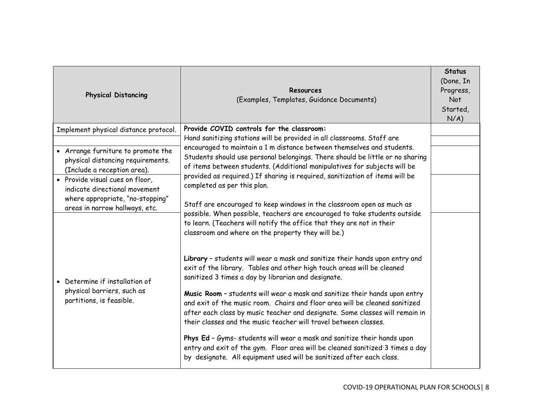| <b>Physical Distancing</b>                                                                             | <b>Resources</b><br>(Examples, Templates, Guidance Documents)                                                                                                                                                                                                                                                                                                                                                                | <b>Status</b><br>(Done, In<br>Progress,<br>Not<br>Started,<br>N/A) |
|--------------------------------------------------------------------------------------------------------|------------------------------------------------------------------------------------------------------------------------------------------------------------------------------------------------------------------------------------------------------------------------------------------------------------------------------------------------------------------------------------------------------------------------------|--------------------------------------------------------------------|
| Implement physical distance protocol.                                                                  | Provide COVID controls for the classroom:<br>Hand sanitizing stations will be provided in all classrooms. Staff are                                                                                                                                                                                                                                                                                                          |                                                                    |
| • Arrange furniture to promote the<br>physical distancing requirements.<br>(Include a reception area). | encouraged to maintain a 1 m distance between themselves and students.<br>Students should use personal belongings. There should be little or no sharing<br>of items between students. (Additional manipulatives for subjects will be<br>provided as required.) If sharing is required, sanitization of items will be<br>completed as per this plan.<br>Staff are encouraged to keep windows in the classroom open as much as |                                                                    |
| • Provide visual cues on floor,<br>indicate directional movement<br>where appropriate, "no-stopping"   |                                                                                                                                                                                                                                                                                                                                                                                                                              |                                                                    |
| areas in narrow hallways, etc.                                                                         | possible. When possible, teachers are encouraged to take students outside<br>to learn. (Teachers will notify the office that they are not in their<br>classroom and where on the property they will be.)                                                                                                                                                                                                                     |                                                                    |
| Determine if installation of                                                                           | Library - students will wear a mask and sanitize their hands upon entry and<br>exit of the library. Tables and other high touch areas will be cleaned<br>sanitized 3 times a day by librarian and designate.                                                                                                                                                                                                                 |                                                                    |
| physical barriers, such as<br>partitions, is feasible.                                                 | Music Room - students will wear a mask and sanitize their hands upon entry<br>and exit of the music room. Chairs and floor area will be cleaned sanitized<br>after each class by music teacher and designate. Some classes will remain in<br>their classes and the music teacher will travel between classes.                                                                                                                |                                                                    |
|                                                                                                        | Phys Ed - Gyms- students will wear a mask and sanitize their hands upon<br>entry and exit of the gym. Floor area will be cleaned sanitized 3 times a day<br>by designate. All equipment used will be sanitized after each class.                                                                                                                                                                                             |                                                                    |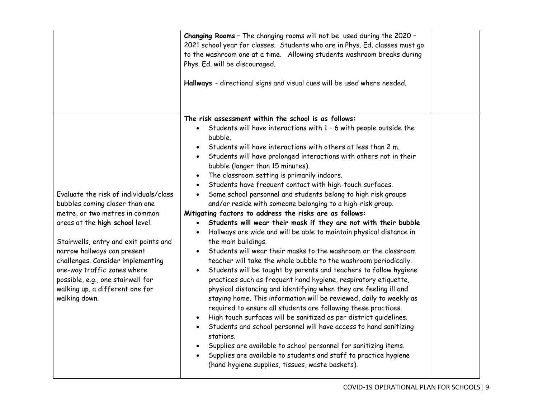|                                                                                                                                                                                                                                                                                                                                                                                    | Changing Rooms - The changing rooms will not be used during the 2020 -<br>2021 school year for classes. Students who are in Phys. Ed. classes must go<br>to the washroom one at a time. Allowing students washroom breaks during<br>Phys. Ed. will be discouraged.<br>Hallways - directional signs and visual cues will be used where needed.                                                                                                                                                                                                                                                                                                                                                                                                                                                                                                                                                                                                                                                                                                                                                                                                                                                                                                                                                                                                                                                                                                                                                                                                                                                                                                                         |  |
|------------------------------------------------------------------------------------------------------------------------------------------------------------------------------------------------------------------------------------------------------------------------------------------------------------------------------------------------------------------------------------|-----------------------------------------------------------------------------------------------------------------------------------------------------------------------------------------------------------------------------------------------------------------------------------------------------------------------------------------------------------------------------------------------------------------------------------------------------------------------------------------------------------------------------------------------------------------------------------------------------------------------------------------------------------------------------------------------------------------------------------------------------------------------------------------------------------------------------------------------------------------------------------------------------------------------------------------------------------------------------------------------------------------------------------------------------------------------------------------------------------------------------------------------------------------------------------------------------------------------------------------------------------------------------------------------------------------------------------------------------------------------------------------------------------------------------------------------------------------------------------------------------------------------------------------------------------------------------------------------------------------------------------------------------------------------|--|
| Evaluate the risk of individuals/class<br>bubbles coming closer than one<br>metre, or two metres in common<br>areas at the high school level.<br>Stairwells, entry and exit points and<br>narrow hallways can present<br>challenges. Consider implementing<br>one-way traffic zones where<br>possible, e.g., one stairwell for<br>walking up, a different one for<br>walking down. | The risk assessment within the school is as follows:<br>• Students will have interactions with 1 - 6 with people outside the<br>bubble.<br>• Students will have interactions with others at less than 2 m.<br>• Students will have prolonged interactions with others not in their<br>bubble (longer than 15 minutes).<br>The classroom setting is primarily indoors.<br>Students have frequent contact with high-touch surfaces.<br>• Some school personnel and students belong to high risk groups<br>and/or reside with someone belonging to a high-risk group.<br>Mitigating factors to address the risks are as follows:<br>Students will wear their mask if they are not with their bubble<br>$\bullet$<br>• Hallways are wide and will be able to maintain physical distance in<br>the main buildings.<br>Students will wear their masks to the washroom or the classroom<br>teacher will take the whole bubble to the washroom periodically.<br>• Students will be taught by parents and teachers to follow hygiene<br>practices such as frequent hand hygiene, respiratory etiquette,<br>physical distancing and identifying when they are feeling ill and<br>staying home. This information will be reviewed, daily to weekly as<br>required to ensure all students are following these practices.<br>· High touch surfaces will be sanitized as per district guidelines.<br>• Students and school personnel will have access to hand sanitizing<br>stations.<br>Supplies are available to school personnel for sanitizing items.<br>• Supplies are available to students and staff to practice hygiene<br>(hand hygiene supplies, tissues, waste baskets). |  |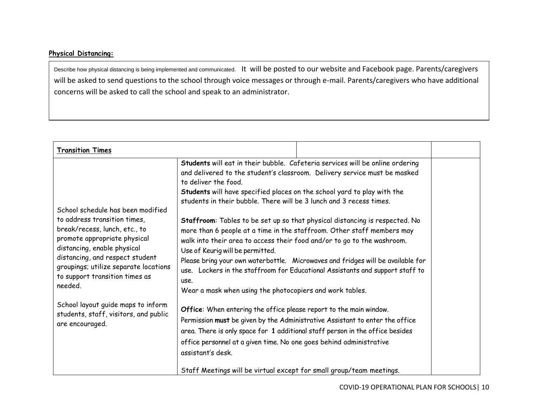# **Physical Distancing:**

Describe how physical distancing is being implemented and communicated. It will be posted to our website and Facebook page. Parents/caregivers will be asked to send questions to the school through voice messages or through e-mail. Parents/caregivers who have additional concerns will be asked to call the school and speak to an administrator.

| <b>Transition Times</b>                                                                                                                                                                                                                                                                                                                                                                      |                                                                                                                                                                                                                                                                                                                                                                                                                                                                                                                                                                                                     |                                                                                                                                                                                                                                                                                                                                                                                                                                                                                                                                                                                                                                                          |  |
|----------------------------------------------------------------------------------------------------------------------------------------------------------------------------------------------------------------------------------------------------------------------------------------------------------------------------------------------------------------------------------------------|-----------------------------------------------------------------------------------------------------------------------------------------------------------------------------------------------------------------------------------------------------------------------------------------------------------------------------------------------------------------------------------------------------------------------------------------------------------------------------------------------------------------------------------------------------------------------------------------------------|----------------------------------------------------------------------------------------------------------------------------------------------------------------------------------------------------------------------------------------------------------------------------------------------------------------------------------------------------------------------------------------------------------------------------------------------------------------------------------------------------------------------------------------------------------------------------------------------------------------------------------------------------------|--|
| School schedule has been modified<br>to address transition times,<br>break/recess, lunch, etc., to<br>promote appropriate physical<br>distancing, enable physical<br>distancing, and respect student<br>groupings; utilize separate locations<br>to support transition times as<br>needed.<br>School layout guide maps to inform<br>students, staff, visitors, and public<br>are encouraged. | to deliver the food.<br>Students will have specified places on the school yard to play with the<br>students in their bubble. There will be 3 lunch and 3 recess times.<br>walk into their area to access their food and/or to go to the washroom.<br>Use of Keurig will be permitted.<br>use.<br>Wear a mask when using the photocopiers and work tables.<br>Office: When entering the office please report to the main window.<br>office personnel at a given time. No one goes behind administrative<br>assistant's desk.<br>Staff Meetings will be virtual except for small group/team meetings. | Students will eat in their bubble. Cafeteria services will be online ordering<br>and delivered to the student's classroom. Delivery service must be masked<br>Staffroom: Tables to be set up so that physical distancing is respected. No<br>more than 6 people at a time in the staffroom. Other staff members may<br>Please bring your own waterbottle. Microwaves and fridges will be available for<br>use. Lockers in the staffroom for Educational Assistants and support staff to<br>Permission must be given by the Administrative Assistant to enter the office<br>area. There is only space for 1 additional staff person in the office besides |  |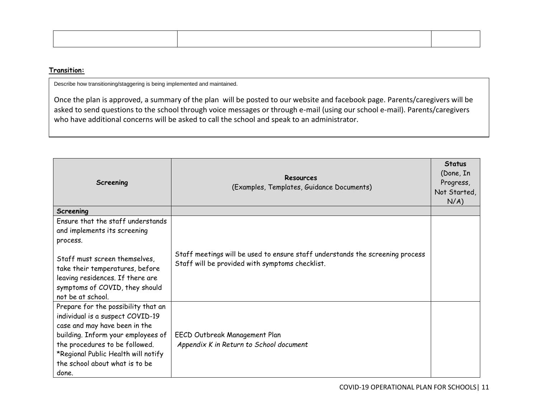### **Transition:**

Describe how transitioning/staggering is being implemented and maintained.

Once the plan is approved, a summary of the plan will be posted to our website and facebook page. Parents/caregivers will be asked to send questions to the school through voice messages or through e-mail (using our school e-mail). Parents/caregivers who have additional concerns will be asked to call the school and speak to an administrator.

| Screening                                                                                                                                                                                                                                                          | Resources<br>(Examples, Templates, Guidance Documents)                                                                           | <b>Status</b><br>(Done, In<br>Progress,<br>Not Started,<br>$N/A$ ) |
|--------------------------------------------------------------------------------------------------------------------------------------------------------------------------------------------------------------------------------------------------------------------|----------------------------------------------------------------------------------------------------------------------------------|--------------------------------------------------------------------|
| Screening                                                                                                                                                                                                                                                          |                                                                                                                                  |                                                                    |
| Ensure that the staff understands<br>and implements its screening<br>process.                                                                                                                                                                                      |                                                                                                                                  |                                                                    |
| Staff must screen themselves,<br>take their temperatures, before<br>leaving residences. If there are<br>symptoms of COVID, they should<br>not be at school.                                                                                                        | Staff meetings will be used to ensure staff understands the screening process<br>Staff will be provided with symptoms checklist. |                                                                    |
| Prepare for the possibility that an<br>individual is a suspect COVID-19<br>case and may have been in the<br>building. Inform your employees of<br>the procedures to be followed.<br>*Regional Public Health will notify<br>the school about what is to be<br>done. | EECD Outbreak Management Plan<br>Appendix K in Return to School document                                                         |                                                                    |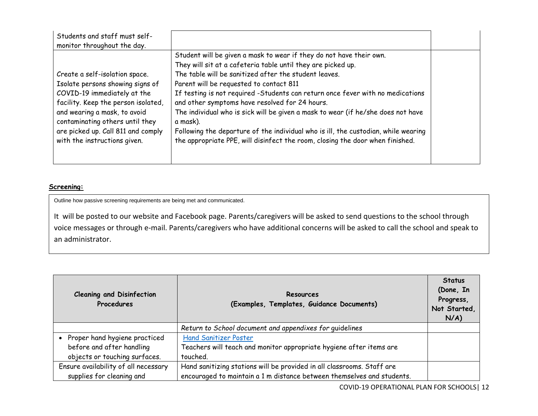| Students and staff must self-<br>monitor throughout the day.                                                                                                                                                                                                                      |                                                                                                                                                                                                                                                                                                                                                                                                                                                                                                                                                                                                                                                    |  |
|-----------------------------------------------------------------------------------------------------------------------------------------------------------------------------------------------------------------------------------------------------------------------------------|----------------------------------------------------------------------------------------------------------------------------------------------------------------------------------------------------------------------------------------------------------------------------------------------------------------------------------------------------------------------------------------------------------------------------------------------------------------------------------------------------------------------------------------------------------------------------------------------------------------------------------------------------|--|
| Create a self-isolation space.<br>Isolate persons showing signs of<br>COVID-19 immediately at the<br>facility. Keep the person isolated,<br>and wearing a mask, to avoid<br>contaminating others until they<br>are picked up. Call 811 and comply<br>with the instructions given. | Student will be given a mask to wear if they do not have their own.<br>They will sit at a cafeteria table until they are picked up.<br>The table will be sanitized after the student leaves.<br>Parent will be requested to contact 811<br>If testing is not required -Students can return once fever with no medications<br>and other symptoms have resolved for 24 hours.<br>The individual who is sick will be given a mask to wear (if he/she does not have<br>a mask).<br>Following the departure of the individual who is ill, the custodian, while wearing<br>the appropriate PPE, will disinfect the room, closing the door when finished. |  |

#### **Screening:**

Outline how passive screening requirements are being met and communicated.

It will be posted to our website and Facebook page. Parents/caregivers will be asked to send questions to the school through voice messages or through e-mail. Parents/caregivers who have additional concerns will be asked to call the school and speak to an administrator.

| <b>Cleaning and Disinfection</b><br>Procedures | Resources<br>(Examples, Templates, Guidance Documents)                 | <b>Status</b><br>(Done, In<br>Progress,<br>Not Started,<br>$N/A$ ) |
|------------------------------------------------|------------------------------------------------------------------------|--------------------------------------------------------------------|
|                                                | Return to School document and appendixes for guidelines                |                                                                    |
| • Proper hand hygiene practiced                | <b>Hand Sanitizer Poster</b>                                           |                                                                    |
| before and after handling                      | Teachers will teach and monitor appropriate hygiene after items are    |                                                                    |
| objects or touching surfaces.                  | touched.                                                               |                                                                    |
| Ensure availability of all necessary           | Hand sanitizing stations will be provided in all classrooms. Staff are |                                                                    |
| supplies for cleaning and                      | encouraged to maintain a 1 m distance between themselves and students. |                                                                    |

COVID-19 OPERATIONAL PLAN FOR SCHOOLS| 12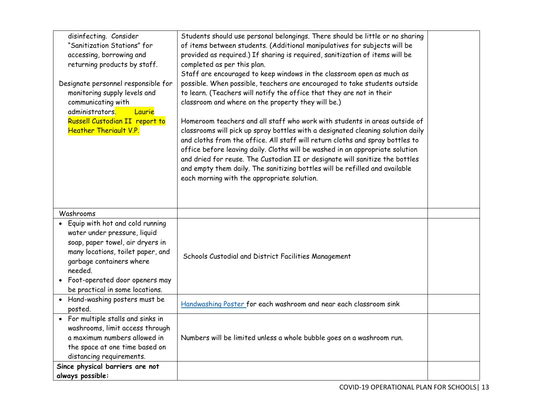| disinfecting. Consider                      | Students should use personal belongings. There should be little or no sharing   |  |
|---------------------------------------------|---------------------------------------------------------------------------------|--|
| "Sanitization Stations" for                 | of items between students. (Additional manipulatives for subjects will be       |  |
| accessing, borrowing and                    | provided as required.) If sharing is required, sanitization of items will be    |  |
| returning products by staff.                | completed as per this plan.                                                     |  |
|                                             | Staff are encouraged to keep windows in the classroom open as much as           |  |
| Designate personnel responsible for         | possible. When possible, teachers are encouraged to take students outside       |  |
| monitoring supply levels and                | to learn. (Teachers will notify the office that they are not in their           |  |
| communicating with                          | classroom and where on the property they will be.)                              |  |
| administrators <mark>.</mark><br>Laurie     |                                                                                 |  |
| Russell Custodian II report to              | Homeroom teachers and all staff who work with students in areas outside of      |  |
| <b>Heather Theriault V.P.</b>               | classrooms will pick up spray bottles with a designated cleaning solution daily |  |
|                                             | and cloths from the office. All staff will return cloths and spray bottles to   |  |
|                                             | office before leaving daily. Cloths will be washed in an appropriate solution   |  |
|                                             | and dried for reuse. The Custodian II or designate will sanitize the bottles    |  |
|                                             | and empty them daily. The sanitizing bottles will be refilled and available     |  |
|                                             | each morning with the appropriate solution.                                     |  |
|                                             |                                                                                 |  |
|                                             |                                                                                 |  |
|                                             |                                                                                 |  |
| Washrooms                                   |                                                                                 |  |
| Equip with hot and cold running             |                                                                                 |  |
| water under pressure, liquid                |                                                                                 |  |
| soap, paper towel, air dryers in            |                                                                                 |  |
| many locations, toilet paper, and           | Schools Custodial and District Facilities Management                            |  |
| garbage containers where                    |                                                                                 |  |
| needed.                                     |                                                                                 |  |
| Foot-operated door openers may<br>$\bullet$ |                                                                                 |  |
| be practical in some locations.             |                                                                                 |  |
| • Hand-washing posters must be              | Handwashing Poster for each washroom and near each classroom sink               |  |
| posted.                                     |                                                                                 |  |
| • For multiple stalls and sinks in          |                                                                                 |  |
| washrooms, limit access through             |                                                                                 |  |
| a maximum numbers allowed in                | Numbers will be limited unless a whole bubble goes on a washroom run.           |  |
| the space at one time based on              |                                                                                 |  |
| distancing requirements.                    |                                                                                 |  |
| Since physical barriers are not             |                                                                                 |  |
| always possible:                            |                                                                                 |  |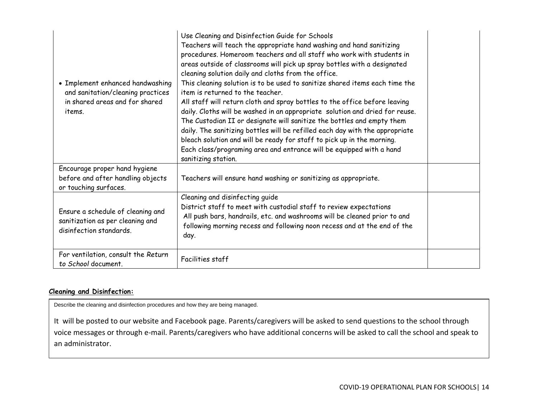| • Implement enhanced handwashing<br>and sanitation/cleaning practices<br>in shared areas and for shared<br>items. | Use Cleaning and Disinfection Guide for Schools<br>Teachers will teach the appropriate hand washing and hand sanitizing<br>procedures. Homeroom teachers and all staff who work with students in<br>areas outside of classrooms will pick up spray bottles with a designated<br>cleaning solution daily and cloths from the office.<br>This cleaning solution is to be used to sanitize shared items each time the<br>item is returned to the teacher.<br>All staff will return cloth and spray bottles to the office before leaving<br>daily. Cloths will be washed in an appropriate solution and dried for reuse.<br>The Custodian II or designate will sanitize the bottles and empty them<br>daily. The sanitizing bottles will be refilled each day with the appropriate<br>bleach solution and will be ready for staff to pick up in the morning.<br>Each class/programing area and entrance will be equipped with a hand<br>sanitizing station. |  |
|-------------------------------------------------------------------------------------------------------------------|---------------------------------------------------------------------------------------------------------------------------------------------------------------------------------------------------------------------------------------------------------------------------------------------------------------------------------------------------------------------------------------------------------------------------------------------------------------------------------------------------------------------------------------------------------------------------------------------------------------------------------------------------------------------------------------------------------------------------------------------------------------------------------------------------------------------------------------------------------------------------------------------------------------------------------------------------------|--|
| Encourage proper hand hygiene<br>before and after handling objects<br>or touching surfaces.                       | Teachers will ensure hand washing or sanitizing as appropriate.                                                                                                                                                                                                                                                                                                                                                                                                                                                                                                                                                                                                                                                                                                                                                                                                                                                                                         |  |
| Ensure a schedule of cleaning and<br>sanitization as per cleaning and<br>disinfection standards.                  | Cleaning and disinfecting guide<br>District staff to meet with custodial staff to review expectations<br>All push bars, handrails, etc. and washrooms will be cleaned prior to and<br>following morning recess and following noon recess and at the end of the<br>day.                                                                                                                                                                                                                                                                                                                                                                                                                                                                                                                                                                                                                                                                                  |  |
| For ventilation, consult the Return<br>to School document.                                                        | Facilities staff                                                                                                                                                                                                                                                                                                                                                                                                                                                                                                                                                                                                                                                                                                                                                                                                                                                                                                                                        |  |

## **Cleaning and Disinfection:**

Describe the cleaning and disinfection procedures and how they are being managed.

It will be posted to our website and Facebook page. Parents/caregivers will be asked to send questions to the school through voice messages or through e-mail. Parents/caregivers who have additional concerns will be asked to call the school and speak to an administrator.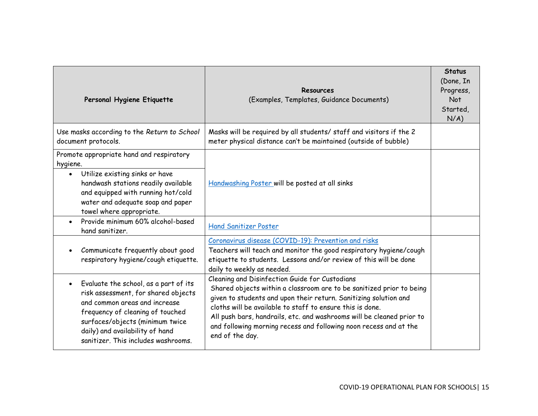| Personal Hygiene Etiquette                                                                                                                                                                                                                                     | Resources<br>(Examples, Templates, Guidance Documents)                                                                                                                                                                                                                                                                                                                                                                   | <b>Status</b><br>(Done, In<br>Progress,<br>Not<br>Started,<br>N/A) |
|----------------------------------------------------------------------------------------------------------------------------------------------------------------------------------------------------------------------------------------------------------------|--------------------------------------------------------------------------------------------------------------------------------------------------------------------------------------------------------------------------------------------------------------------------------------------------------------------------------------------------------------------------------------------------------------------------|--------------------------------------------------------------------|
| Use masks according to the Return to School<br>document protocols.                                                                                                                                                                                             | Masks will be required by all students/ staff and visitors if the 2<br>meter physical distance can't be maintained (outside of bubble)                                                                                                                                                                                                                                                                                   |                                                                    |
| Promote appropriate hand and respiratory<br>hygiene.<br>Utilize existing sinks or have<br>$\bullet$<br>handwash stations readily available<br>and equipped with running hot/cold<br>water and adequate soap and paper<br>towel where appropriate.              | Handwashing Poster will be posted at all sinks                                                                                                                                                                                                                                                                                                                                                                           |                                                                    |
| Provide minimum 60% alcohol-based<br>hand sanitizer.                                                                                                                                                                                                           | <b>Hand Sanitizer Poster</b>                                                                                                                                                                                                                                                                                                                                                                                             |                                                                    |
| Communicate frequently about good<br>respiratory hygiene/cough etiquette.                                                                                                                                                                                      | Coronavirus disease (COVID-19): Prevention and risks<br>Teachers will teach and monitor the good respiratory hygiene/cough<br>etiquette to students. Lessons and/or review of this will be done<br>daily to weekly as needed.                                                                                                                                                                                            |                                                                    |
| Evaluate the school, as a part of its<br>risk assessment, for shared objects<br>and common areas and increase<br>frequency of cleaning of touched<br>surfaces/objects (minimum twice<br>daily) and availability of hand<br>sanitizer. This includes washrooms. | Cleaning and Disinfection Guide for Custodians<br>Shared objects within a classroom are to be sanitized prior to being<br>given to students and upon their return. Sanitizing solution and<br>cloths will be available to staff to ensure this is done.<br>All push bars, handrails, etc. and washrooms will be cleaned prior to<br>and following morning recess and following noon recess and at the<br>end of the day. |                                                                    |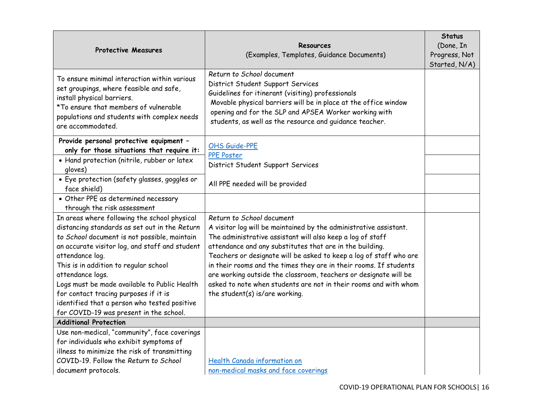| <b>Protective Measures</b>                                                                                                                                                                                                                                                                                                                                                                                                                                          | Resources<br>(Examples, Templates, Guidance Documents)                                                                                                                                                                                                                                                                                                                                                                                                                                                                                        | <b>Status</b><br>(Done, In<br>Progress, Not<br>Started, N/A) |
|---------------------------------------------------------------------------------------------------------------------------------------------------------------------------------------------------------------------------------------------------------------------------------------------------------------------------------------------------------------------------------------------------------------------------------------------------------------------|-----------------------------------------------------------------------------------------------------------------------------------------------------------------------------------------------------------------------------------------------------------------------------------------------------------------------------------------------------------------------------------------------------------------------------------------------------------------------------------------------------------------------------------------------|--------------------------------------------------------------|
| To ensure minimal interaction within various<br>set groupings, where feasible and safe,<br>install physical barriers.<br>*To ensure that members of vulnerable<br>populations and students with complex needs<br>are accommodated.                                                                                                                                                                                                                                  | Return to School document<br>District Student Support Services<br>Guidelines for itinerant (visiting) professionals<br>Movable physical barriers will be in place at the office window<br>opening and for the SLP and APSEA Worker working with<br>students, as well as the resource and guidance teacher.                                                                                                                                                                                                                                    |                                                              |
| Provide personal protective equipment -<br>only for those situations that require it:                                                                                                                                                                                                                                                                                                                                                                               | OHS Guide-PPE<br><b>PPE Poster</b>                                                                                                                                                                                                                                                                                                                                                                                                                                                                                                            |                                                              |
| • Hand protection (nitrile, rubber or latex<br>gloves)                                                                                                                                                                                                                                                                                                                                                                                                              | District Student Support Services                                                                                                                                                                                                                                                                                                                                                                                                                                                                                                             |                                                              |
| · Eye protection (safety glasses, goggles or<br>face shield)                                                                                                                                                                                                                                                                                                                                                                                                        | All PPE needed will be provided                                                                                                                                                                                                                                                                                                                                                                                                                                                                                                               |                                                              |
| • Other PPE as determined necessary<br>through the risk assessment                                                                                                                                                                                                                                                                                                                                                                                                  |                                                                                                                                                                                                                                                                                                                                                                                                                                                                                                                                               |                                                              |
| In areas where following the school physical<br>distancing standards as set out in the Return<br>to School document is not possible, maintain<br>an accurate visitor log, and staff and student<br>attendance log.<br>This is in addition to regular school<br>attendance logs.<br>Logs must be made available to Public Health<br>for contact tracing purposes if it is<br>identified that a person who tested positive<br>for COVID-19 was present in the school. | Return to School document<br>A visitor log will be maintained by the administrative assistant.<br>The administrative assistant will also keep a log of staff<br>attendance and any substitutes that are in the building.<br>Teachers or designate will be asked to keep a log of staff who are<br>in their rooms and the times they are in their rooms. If students<br>are working outside the classroom, teachers or designate will be<br>asked to note when students are not in their rooms and with whom<br>the student(s) is/are working. |                                                              |
| <b>Additional Protection</b>                                                                                                                                                                                                                                                                                                                                                                                                                                        |                                                                                                                                                                                                                                                                                                                                                                                                                                                                                                                                               |                                                              |
| Use non-medical, "community", face coverings<br>for individuals who exhibit symptoms of<br>illness to minimize the risk of transmitting<br>COVID-19. Follow the Return to School                                                                                                                                                                                                                                                                                    | <b>Health Canada information on</b>                                                                                                                                                                                                                                                                                                                                                                                                                                                                                                           |                                                              |
| document protocols.                                                                                                                                                                                                                                                                                                                                                                                                                                                 | non-medical masks and face coverings                                                                                                                                                                                                                                                                                                                                                                                                                                                                                                          |                                                              |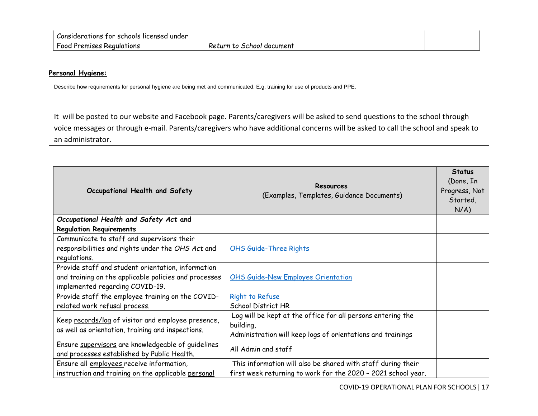### **Personal Hygiene:**

Describe how requirements for personal hygiene are being met and communicated. E.g. training for use of products and PPE.

It will be posted to our website and Facebook page. Parents/caregivers will be asked to send questions to the school through voice messages or through e-mail. Parents/caregivers who have additional concerns will be asked to call the school and speak to an administrator.

| Occupational Health and Safety                        | Resources<br>(Examples, Templates, Guidance Documents)        | <b>Status</b><br>(Done, In<br>Progress, Not<br>Started,<br>$N/A$ ) |
|-------------------------------------------------------|---------------------------------------------------------------|--------------------------------------------------------------------|
| Occupational Health and Safety Act and                |                                                               |                                                                    |
| <b>Regulation Requirements</b>                        |                                                               |                                                                    |
| Communicate to staff and supervisors their            |                                                               |                                                                    |
| responsibilities and rights under the OHS Act and     | <b>OHS Guide-Three Rights</b>                                 |                                                                    |
| regulations.                                          |                                                               |                                                                    |
| Provide staff and student orientation, information    |                                                               |                                                                    |
| and training on the applicable policies and processes | <b>OHS Guide-New Employee Orientation</b>                     |                                                                    |
| implemented regarding COVID-19.                       |                                                               |                                                                    |
| Provide staff the employee training on the COVID-     | Right to Refuse                                               |                                                                    |
| related work refusal process.                         | <b>School District HR</b>                                     |                                                                    |
| Keep records/log of visitor and employee presence,    | Log will be kept at the office for all persons entering the   |                                                                    |
| as well as orientation, training and inspections.     | building,                                                     |                                                                    |
|                                                       | Administration will keep logs of orientations and trainings   |                                                                    |
| Ensure supervisors are knowledgeable of guidelines    | All Admin and staff                                           |                                                                    |
| and processes established by Public Health.           |                                                               |                                                                    |
| Ensure all employees receive information,             | This information will also be shared with staff during their  |                                                                    |
| instruction and training on the applicable personal   | first week returning to work for the 2020 - 2021 school year. |                                                                    |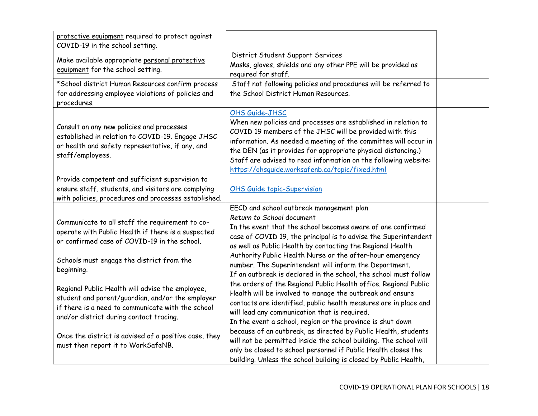| protective equipment required to protect against<br>COVID-19 in the school setting.                                                                                                                                                                                                                                                                                                                                                                                               |                                                                                                                                                                                                                                                                                                                                                                                                                                                                                                                                                                                                                                                                                                                                                                                                                                                        |  |
|-----------------------------------------------------------------------------------------------------------------------------------------------------------------------------------------------------------------------------------------------------------------------------------------------------------------------------------------------------------------------------------------------------------------------------------------------------------------------------------|--------------------------------------------------------------------------------------------------------------------------------------------------------------------------------------------------------------------------------------------------------------------------------------------------------------------------------------------------------------------------------------------------------------------------------------------------------------------------------------------------------------------------------------------------------------------------------------------------------------------------------------------------------------------------------------------------------------------------------------------------------------------------------------------------------------------------------------------------------|--|
| Make available appropriate personal protective<br>equipment for the school setting.                                                                                                                                                                                                                                                                                                                                                                                               | District Student Support Services<br>Masks, gloves, shields and any other PPE will be provided as<br>required for staff.                                                                                                                                                                                                                                                                                                                                                                                                                                                                                                                                                                                                                                                                                                                               |  |
| *School district Human Resources confirm process<br>for addressing employee violations of policies and<br>procedures.                                                                                                                                                                                                                                                                                                                                                             | Staff not following policies and procedures will be referred to<br>the School District Human Resources.                                                                                                                                                                                                                                                                                                                                                                                                                                                                                                                                                                                                                                                                                                                                                |  |
| Consult on any new policies and processes<br>established in relation to COVID-19. Engage JHSC<br>or health and safety representative, if any, and<br>staff/employees.                                                                                                                                                                                                                                                                                                             | OHS Guide-JHSC<br>When new policies and processes are established in relation to<br>COVID 19 members of the JHSC will be provided with this<br>information. As needed a meeting of the committee will occur in<br>the DEN (as it provides for appropriate physical distancing.)<br>Staff are advised to read information on the following website:<br>https://ohsquide.worksafenb.ca/topic/fixed.html                                                                                                                                                                                                                                                                                                                                                                                                                                                  |  |
| Provide competent and sufficient supervision to<br>ensure staff, students, and visitors are complying<br>with policies, procedures and processes established.                                                                                                                                                                                                                                                                                                                     | <b>OHS Guide topic-Supervision</b>                                                                                                                                                                                                                                                                                                                                                                                                                                                                                                                                                                                                                                                                                                                                                                                                                     |  |
| Communicate to all staff the requirement to co-<br>operate with Public Health if there is a suspected<br>or confirmed case of COVID-19 in the school.<br>Schools must engage the district from the<br>beginning.<br>Regional Public Health will advise the employee,<br>student and parent/guardian, and/or the employer<br>if there is a need to communicate with the school<br>and/or district during contact tracing.<br>Once the district is advised of a positive case, they | EECD and school outbreak management plan<br>Return to School document<br>In the event that the school becomes aware of one confirmed<br>case of COVID 19, the principal is to advise the Superintendent<br>as well as Public Health by contacting the Regional Health<br>Authority Public Health Nurse or the after-hour emergency<br>number. The Superintendent will inform the Department.<br>If an outbreak is declared in the school, the school must follow<br>the orders of the Regional Public Health office. Regional Public<br>Health will be involved to manage the outbreak and ensure<br>contacts are identified, public health measures are in place and<br>will lead any communication that is required.<br>In the event a school, region or the province is shut down<br>because of an outbreak, as directed by Public Health, students |  |
| must then report it to WorkSafeNB.                                                                                                                                                                                                                                                                                                                                                                                                                                                | will not be permitted inside the school building. The school will<br>only be closed to school personnel if Public Health closes the<br>building. Unless the school building is closed by Public Health,                                                                                                                                                                                                                                                                                                                                                                                                                                                                                                                                                                                                                                                |  |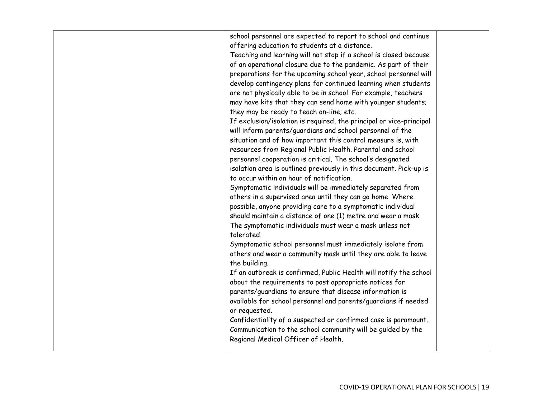| offering education to students at a distance.<br>Teaching and learning will not stop if a school is closed because<br>of an operational closure due to the pandemic. As part of their<br>preparations for the upcoming school year, school personnel will<br>develop contingency plans for continued learning when students<br>are not physically able to be in school. For example, teachers<br>may have kits that they can send home with younger students;<br>they may be ready to teach on-line; etc.<br>If exclusion/isolation is required, the principal or vice-principal<br>will inform parents/guardians and school personnel of the<br>situation and of how important this control measure is, with<br>resources from Regional Public Health. Parental and school<br>personnel cooperation is critical. The school's designated<br>isolation area is outlined previously in this document. Pick-up is<br>to occur within an hour of notification.<br>Symptomatic individuals will be immediately separated from<br>others in a supervised area until they can go home. Where<br>possible, anyone providing care to a symptomatic individual<br>should maintain a distance of one (1) metre and wear a mask.<br>The symptomatic individuals must wear a mask unless not<br>tolerated.<br>Symptomatic school personnel must immediately isolate from<br>others and wear a community mask until they are able to leave<br>the building.<br>If an outbreak is confirmed, Public Health will notify the school<br>about the requirements to post appropriate notices for<br>parents/guardians to ensure that disease information is<br>available for school personnel and parents/guardians if needed<br>or requested.<br>Confidentiality of a suspected or confirmed case is paramount.<br>Communication to the school community will be guided by the |                                                                |  |
|--------------------------------------------------------------------------------------------------------------------------------------------------------------------------------------------------------------------------------------------------------------------------------------------------------------------------------------------------------------------------------------------------------------------------------------------------------------------------------------------------------------------------------------------------------------------------------------------------------------------------------------------------------------------------------------------------------------------------------------------------------------------------------------------------------------------------------------------------------------------------------------------------------------------------------------------------------------------------------------------------------------------------------------------------------------------------------------------------------------------------------------------------------------------------------------------------------------------------------------------------------------------------------------------------------------------------------------------------------------------------------------------------------------------------------------------------------------------------------------------------------------------------------------------------------------------------------------------------------------------------------------------------------------------------------------------------------------------------------------------------------------------------------------------------------------------------------------------------------------|----------------------------------------------------------------|--|
|                                                                                                                                                                                                                                                                                                                                                                                                                                                                                                                                                                                                                                                                                                                                                                                                                                                                                                                                                                                                                                                                                                                                                                                                                                                                                                                                                                                                                                                                                                                                                                                                                                                                                                                                                                                                                                                              | school personnel are expected to report to school and continue |  |
|                                                                                                                                                                                                                                                                                                                                                                                                                                                                                                                                                                                                                                                                                                                                                                                                                                                                                                                                                                                                                                                                                                                                                                                                                                                                                                                                                                                                                                                                                                                                                                                                                                                                                                                                                                                                                                                              |                                                                |  |
|                                                                                                                                                                                                                                                                                                                                                                                                                                                                                                                                                                                                                                                                                                                                                                                                                                                                                                                                                                                                                                                                                                                                                                                                                                                                                                                                                                                                                                                                                                                                                                                                                                                                                                                                                                                                                                                              |                                                                |  |
|                                                                                                                                                                                                                                                                                                                                                                                                                                                                                                                                                                                                                                                                                                                                                                                                                                                                                                                                                                                                                                                                                                                                                                                                                                                                                                                                                                                                                                                                                                                                                                                                                                                                                                                                                                                                                                                              |                                                                |  |
|                                                                                                                                                                                                                                                                                                                                                                                                                                                                                                                                                                                                                                                                                                                                                                                                                                                                                                                                                                                                                                                                                                                                                                                                                                                                                                                                                                                                                                                                                                                                                                                                                                                                                                                                                                                                                                                              |                                                                |  |
|                                                                                                                                                                                                                                                                                                                                                                                                                                                                                                                                                                                                                                                                                                                                                                                                                                                                                                                                                                                                                                                                                                                                                                                                                                                                                                                                                                                                                                                                                                                                                                                                                                                                                                                                                                                                                                                              |                                                                |  |
|                                                                                                                                                                                                                                                                                                                                                                                                                                                                                                                                                                                                                                                                                                                                                                                                                                                                                                                                                                                                                                                                                                                                                                                                                                                                                                                                                                                                                                                                                                                                                                                                                                                                                                                                                                                                                                                              |                                                                |  |
|                                                                                                                                                                                                                                                                                                                                                                                                                                                                                                                                                                                                                                                                                                                                                                                                                                                                                                                                                                                                                                                                                                                                                                                                                                                                                                                                                                                                                                                                                                                                                                                                                                                                                                                                                                                                                                                              |                                                                |  |
|                                                                                                                                                                                                                                                                                                                                                                                                                                                                                                                                                                                                                                                                                                                                                                                                                                                                                                                                                                                                                                                                                                                                                                                                                                                                                                                                                                                                                                                                                                                                                                                                                                                                                                                                                                                                                                                              |                                                                |  |
|                                                                                                                                                                                                                                                                                                                                                                                                                                                                                                                                                                                                                                                                                                                                                                                                                                                                                                                                                                                                                                                                                                                                                                                                                                                                                                                                                                                                                                                                                                                                                                                                                                                                                                                                                                                                                                                              |                                                                |  |
|                                                                                                                                                                                                                                                                                                                                                                                                                                                                                                                                                                                                                                                                                                                                                                                                                                                                                                                                                                                                                                                                                                                                                                                                                                                                                                                                                                                                                                                                                                                                                                                                                                                                                                                                                                                                                                                              |                                                                |  |
|                                                                                                                                                                                                                                                                                                                                                                                                                                                                                                                                                                                                                                                                                                                                                                                                                                                                                                                                                                                                                                                                                                                                                                                                                                                                                                                                                                                                                                                                                                                                                                                                                                                                                                                                                                                                                                                              |                                                                |  |
|                                                                                                                                                                                                                                                                                                                                                                                                                                                                                                                                                                                                                                                                                                                                                                                                                                                                                                                                                                                                                                                                                                                                                                                                                                                                                                                                                                                                                                                                                                                                                                                                                                                                                                                                                                                                                                                              |                                                                |  |
|                                                                                                                                                                                                                                                                                                                                                                                                                                                                                                                                                                                                                                                                                                                                                                                                                                                                                                                                                                                                                                                                                                                                                                                                                                                                                                                                                                                                                                                                                                                                                                                                                                                                                                                                                                                                                                                              |                                                                |  |
|                                                                                                                                                                                                                                                                                                                                                                                                                                                                                                                                                                                                                                                                                                                                                                                                                                                                                                                                                                                                                                                                                                                                                                                                                                                                                                                                                                                                                                                                                                                                                                                                                                                                                                                                                                                                                                                              |                                                                |  |
|                                                                                                                                                                                                                                                                                                                                                                                                                                                                                                                                                                                                                                                                                                                                                                                                                                                                                                                                                                                                                                                                                                                                                                                                                                                                                                                                                                                                                                                                                                                                                                                                                                                                                                                                                                                                                                                              |                                                                |  |
|                                                                                                                                                                                                                                                                                                                                                                                                                                                                                                                                                                                                                                                                                                                                                                                                                                                                                                                                                                                                                                                                                                                                                                                                                                                                                                                                                                                                                                                                                                                                                                                                                                                                                                                                                                                                                                                              |                                                                |  |
|                                                                                                                                                                                                                                                                                                                                                                                                                                                                                                                                                                                                                                                                                                                                                                                                                                                                                                                                                                                                                                                                                                                                                                                                                                                                                                                                                                                                                                                                                                                                                                                                                                                                                                                                                                                                                                                              |                                                                |  |
|                                                                                                                                                                                                                                                                                                                                                                                                                                                                                                                                                                                                                                                                                                                                                                                                                                                                                                                                                                                                                                                                                                                                                                                                                                                                                                                                                                                                                                                                                                                                                                                                                                                                                                                                                                                                                                                              |                                                                |  |
|                                                                                                                                                                                                                                                                                                                                                                                                                                                                                                                                                                                                                                                                                                                                                                                                                                                                                                                                                                                                                                                                                                                                                                                                                                                                                                                                                                                                                                                                                                                                                                                                                                                                                                                                                                                                                                                              |                                                                |  |
|                                                                                                                                                                                                                                                                                                                                                                                                                                                                                                                                                                                                                                                                                                                                                                                                                                                                                                                                                                                                                                                                                                                                                                                                                                                                                                                                                                                                                                                                                                                                                                                                                                                                                                                                                                                                                                                              |                                                                |  |
|                                                                                                                                                                                                                                                                                                                                                                                                                                                                                                                                                                                                                                                                                                                                                                                                                                                                                                                                                                                                                                                                                                                                                                                                                                                                                                                                                                                                                                                                                                                                                                                                                                                                                                                                                                                                                                                              |                                                                |  |
|                                                                                                                                                                                                                                                                                                                                                                                                                                                                                                                                                                                                                                                                                                                                                                                                                                                                                                                                                                                                                                                                                                                                                                                                                                                                                                                                                                                                                                                                                                                                                                                                                                                                                                                                                                                                                                                              |                                                                |  |
|                                                                                                                                                                                                                                                                                                                                                                                                                                                                                                                                                                                                                                                                                                                                                                                                                                                                                                                                                                                                                                                                                                                                                                                                                                                                                                                                                                                                                                                                                                                                                                                                                                                                                                                                                                                                                                                              |                                                                |  |
|                                                                                                                                                                                                                                                                                                                                                                                                                                                                                                                                                                                                                                                                                                                                                                                                                                                                                                                                                                                                                                                                                                                                                                                                                                                                                                                                                                                                                                                                                                                                                                                                                                                                                                                                                                                                                                                              |                                                                |  |
|                                                                                                                                                                                                                                                                                                                                                                                                                                                                                                                                                                                                                                                                                                                                                                                                                                                                                                                                                                                                                                                                                                                                                                                                                                                                                                                                                                                                                                                                                                                                                                                                                                                                                                                                                                                                                                                              |                                                                |  |
|                                                                                                                                                                                                                                                                                                                                                                                                                                                                                                                                                                                                                                                                                                                                                                                                                                                                                                                                                                                                                                                                                                                                                                                                                                                                                                                                                                                                                                                                                                                                                                                                                                                                                                                                                                                                                                                              |                                                                |  |
|                                                                                                                                                                                                                                                                                                                                                                                                                                                                                                                                                                                                                                                                                                                                                                                                                                                                                                                                                                                                                                                                                                                                                                                                                                                                                                                                                                                                                                                                                                                                                                                                                                                                                                                                                                                                                                                              |                                                                |  |
|                                                                                                                                                                                                                                                                                                                                                                                                                                                                                                                                                                                                                                                                                                                                                                                                                                                                                                                                                                                                                                                                                                                                                                                                                                                                                                                                                                                                                                                                                                                                                                                                                                                                                                                                                                                                                                                              |                                                                |  |
|                                                                                                                                                                                                                                                                                                                                                                                                                                                                                                                                                                                                                                                                                                                                                                                                                                                                                                                                                                                                                                                                                                                                                                                                                                                                                                                                                                                                                                                                                                                                                                                                                                                                                                                                                                                                                                                              |                                                                |  |
|                                                                                                                                                                                                                                                                                                                                                                                                                                                                                                                                                                                                                                                                                                                                                                                                                                                                                                                                                                                                                                                                                                                                                                                                                                                                                                                                                                                                                                                                                                                                                                                                                                                                                                                                                                                                                                                              |                                                                |  |
|                                                                                                                                                                                                                                                                                                                                                                                                                                                                                                                                                                                                                                                                                                                                                                                                                                                                                                                                                                                                                                                                                                                                                                                                                                                                                                                                                                                                                                                                                                                                                                                                                                                                                                                                                                                                                                                              |                                                                |  |
|                                                                                                                                                                                                                                                                                                                                                                                                                                                                                                                                                                                                                                                                                                                                                                                                                                                                                                                                                                                                                                                                                                                                                                                                                                                                                                                                                                                                                                                                                                                                                                                                                                                                                                                                                                                                                                                              | Regional Medical Officer of Health.                            |  |
|                                                                                                                                                                                                                                                                                                                                                                                                                                                                                                                                                                                                                                                                                                                                                                                                                                                                                                                                                                                                                                                                                                                                                                                                                                                                                                                                                                                                                                                                                                                                                                                                                                                                                                                                                                                                                                                              |                                                                |  |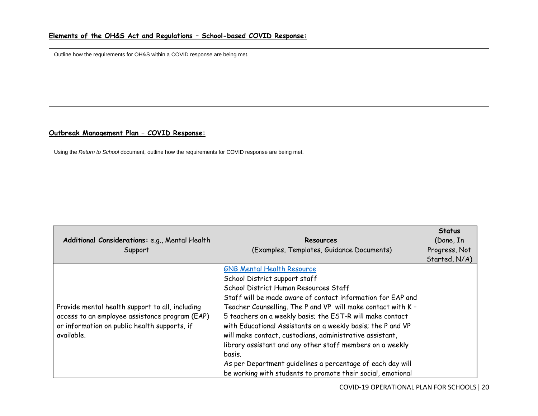Outline how the requirements for OH&S within a COVID response are being met.

# **Outbreak Management Plan – COVID Response:**

Using the *Return to School* document, outline how the requirements for COVID response are being met.

| Additional Considerations: e.g., Mental Health<br>Support                                                                                                       | Resources<br>(Examples, Templates, Guidance Documents)                                                                                                                                                                                                                                                                                                                                                                                                                                                                                                                                                                                 | <b>Status</b><br>(Done, In<br>Progress, Not<br>Started, N/A) |
|-----------------------------------------------------------------------------------------------------------------------------------------------------------------|----------------------------------------------------------------------------------------------------------------------------------------------------------------------------------------------------------------------------------------------------------------------------------------------------------------------------------------------------------------------------------------------------------------------------------------------------------------------------------------------------------------------------------------------------------------------------------------------------------------------------------------|--------------------------------------------------------------|
| Provide mental health support to all, including<br>access to an employee assistance program (EAP)<br>or information on public health supports, if<br>available. | <b>GNB Mental Health Resource</b><br>School District support staff<br>School District Human Resources Staff<br>Staff will be made aware of contact information for EAP and<br>Teacher Counselling. The P and VP will make contact with K -<br>5 teachers on a weekly basis; the EST-R will make contact<br>with Educational Assistants on a weekly basis; the P and VP<br>will make contact, custodians, administrative assistant,<br>library assistant and any other staff members on a weekly<br>basis.<br>As per Department guidelines a percentage of each day will<br>be working with students to promote their social, emotional |                                                              |